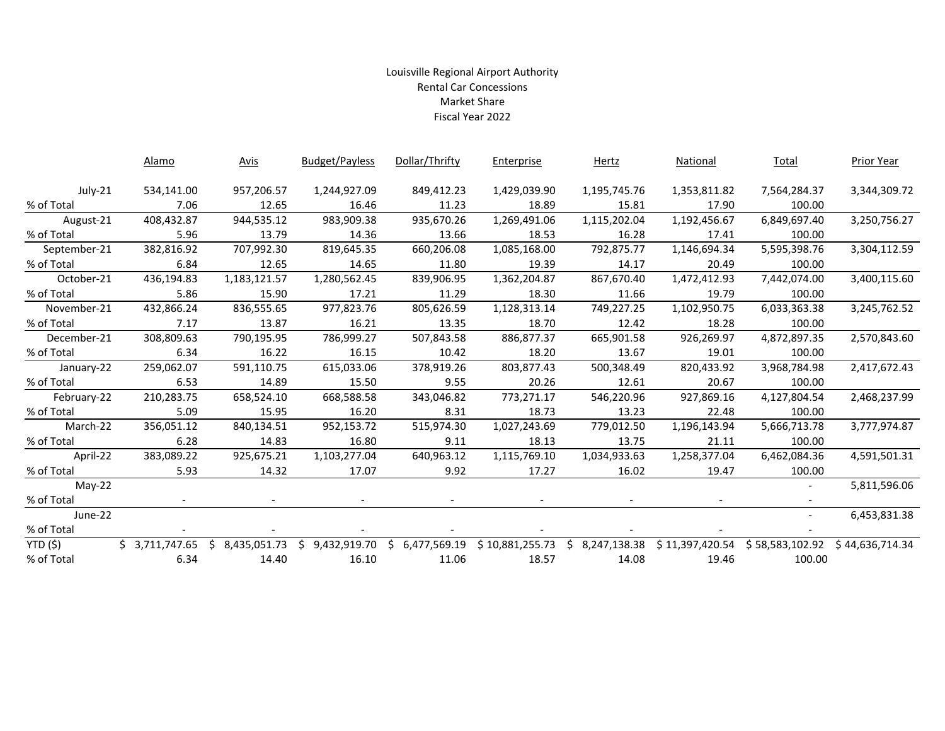## Louisville Regional Airport Authority Rental Car Concessions Market Share Fiscal Year 2022

|              | Alamo          |    | <b>Avis</b>  | <b>Budget/Payless</b> | Dollar/Thrifty | Enterprise      | Hertz          | National        | Total           | <b>Prior Year</b> |
|--------------|----------------|----|--------------|-----------------------|----------------|-----------------|----------------|-----------------|-----------------|-------------------|
| July-21      | 534,141.00     |    | 957,206.57   | 1,244,927.09          | 849,412.23     | 1,429,039.90    | 1,195,745.76   | 1,353,811.82    | 7,564,284.37    | 3,344,309.72      |
| % of Total   | 7.06           |    | 12.65        | 16.46                 | 11.23          | 18.89           | 15.81          | 17.90           | 100.00          |                   |
| August-21    | 408,432.87     |    | 944,535.12   | 983,909.38            | 935,670.26     | 1,269,491.06    | 1,115,202.04   | 1,192,456.67    | 6,849,697.40    | 3,250,756.27      |
| % of Total   | 5.96           |    | 13.79        | 14.36                 | 13.66          | 18.53           | 16.28          | 17.41           | 100.00          |                   |
| September-21 | 382,816.92     |    | 707,992.30   | 819,645.35            | 660,206.08     | 1,085,168.00    | 792,875.77     | 1,146,694.34    | 5,595,398.76    | 3,304,112.59      |
| % of Total   | 6.84           |    | 12.65        | 14.65                 | 11.80          | 19.39           | 14.17          | 20.49           | 100.00          |                   |
| October-21   | 436,194.83     |    | 1,183,121.57 | 1,280,562.45          | 839,906.95     | 1,362,204.87    | 867,670.40     | 1,472,412.93    | 7,442,074.00    | 3,400,115.60      |
| % of Total   | 5.86           |    | 15.90        | 17.21                 | 11.29          | 18.30           | 11.66          | 19.79           | 100.00          |                   |
| November-21  | 432,866.24     |    | 836,555.65   | 977,823.76            | 805,626.59     | 1,128,313.14    | 749,227.25     | 1,102,950.75    | 6,033,363.38    | 3,245,762.52      |
| % of Total   | 7.17           |    | 13.87        | 16.21                 | 13.35          | 18.70           | 12.42          | 18.28           | 100.00          |                   |
| December-21  | 308,809.63     |    | 790,195.95   | 786,999.27            | 507,843.58     | 886,877.37      | 665,901.58     | 926,269.97      | 4,872,897.35    | 2,570,843.60      |
| % of Total   | 6.34           |    | 16.22        | 16.15                 | 10.42          | 18.20           | 13.67          | 19.01           | 100.00          |                   |
| January-22   | 259,062.07     |    | 591,110.75   | 615,033.06            | 378,919.26     | 803,877.43      | 500,348.49     | 820,433.92      | 3,968,784.98    | 2,417,672.43      |
| % of Total   | 6.53           |    | 14.89        | 15.50                 | 9.55           | 20.26           | 12.61          | 20.67           | 100.00          |                   |
| February-22  | 210,283.75     |    | 658,524.10   | 668,588.58            | 343,046.82     | 773,271.17      | 546,220.96     | 927,869.16      | 4,127,804.54    | 2,468,237.99      |
| % of Total   | 5.09           |    | 15.95        | 16.20                 | 8.31           | 18.73           | 13.23          | 22.48           | 100.00          |                   |
| March-22     | 356,051.12     |    | 840,134.51   | 952,153.72            | 515,974.30     | 1,027,243.69    | 779,012.50     | 1,196,143.94    | 5,666,713.78    | 3,777,974.87      |
| % of Total   | 6.28           |    | 14.83        | 16.80                 | 9.11           | 18.13           | 13.75          | 21.11           | 100.00          |                   |
| April-22     | 383,089.22     |    | 925,675.21   | 1,103,277.04          | 640,963.12     | 1,115,769.10    | 1,034,933.63   | 1,258,377.04    | 6,462,084.36    | 4,591,501.31      |
| % of Total   | 5.93           |    | 14.32        | 17.07                 | 9.92           | 17.27           | 16.02          | 19.47           | 100.00          |                   |
| $May-22$     |                |    |              |                       |                |                 |                |                 |                 | 5,811,596.06      |
| % of Total   |                |    |              |                       |                |                 |                |                 |                 |                   |
| June-22      |                |    |              |                       |                |                 |                |                 |                 | 6,453,831.38      |
| % of Total   |                |    |              |                       |                |                 |                |                 |                 |                   |
| YTD(5)       | \$3,711,747.65 | Ŝ. | 8,435,051.73 | Ŝ.<br>9,432,919.70    | \$6,477,569.19 | \$10,881,255.73 | \$8,247,138.38 | \$11,397,420.54 | \$58,583,102.92 | \$44,636,714.34   |
| % of Total   | 6.34           |    | 14.40        | 16.10                 | 11.06          | 18.57           | 14.08          | 19.46           | 100.00          |                   |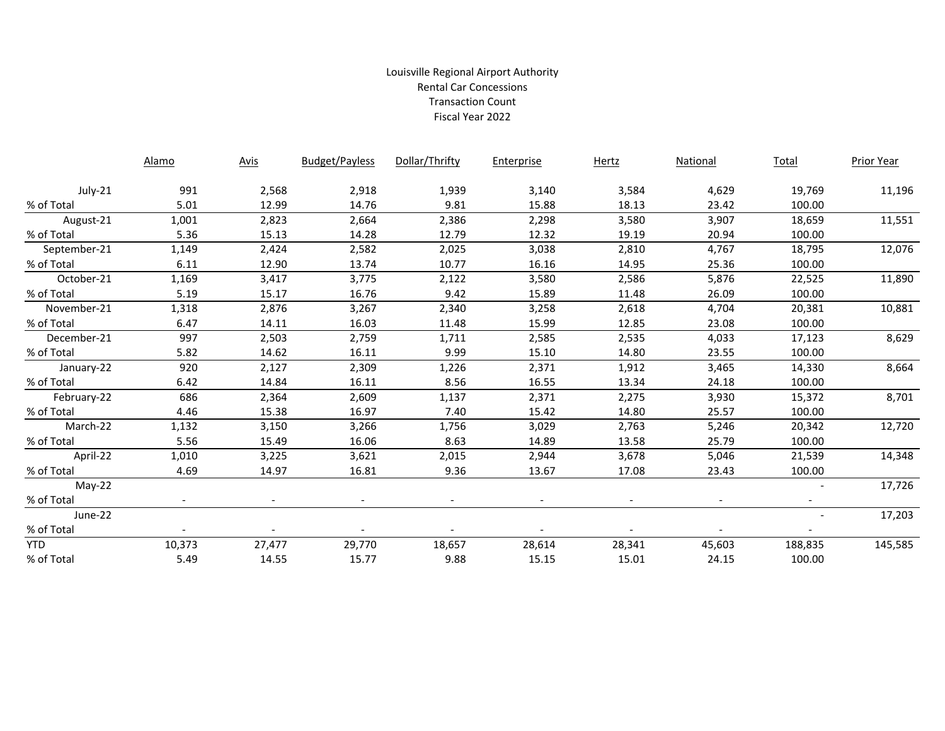## Louisville Regional Airport Authority Rental Car Concessions Transaction Count Fiscal Year 2022

|              | <b>Alamo</b> | <b>Avis</b> | <b>Budget/Payless</b>    | Dollar/Thrifty | Enterprise | <b>Hertz</b>             | National                 | <b>Total</b> | <b>Prior Year</b> |
|--------------|--------------|-------------|--------------------------|----------------|------------|--------------------------|--------------------------|--------------|-------------------|
| July-21      | 991          | 2,568       | 2,918                    | 1,939          | 3,140      | 3,584                    | 4,629                    | 19,769       | 11,196            |
| % of Total   | 5.01         | 12.99       | 14.76                    | 9.81           | 15.88      | 18.13                    | 23.42                    | 100.00       |                   |
| August-21    | 1,001        | 2,823       | 2,664                    | 2,386          | 2,298      | 3,580                    | 3,907                    | 18,659       | 11,551            |
| % of Total   | 5.36         | 15.13       | 14.28                    | 12.79          | 12.32      | 19.19                    | 20.94                    | 100.00       |                   |
| September-21 | 1,149        | 2,424       | 2,582                    | 2,025          | 3,038      | 2,810                    | 4,767                    | 18,795       | 12,076            |
| % of Total   | 6.11         | 12.90       | 13.74                    | 10.77          | 16.16      | 14.95                    | 25.36                    | 100.00       |                   |
| October-21   | 1,169        | 3,417       | 3,775                    | 2,122          | 3,580      | 2,586                    | 5,876                    | 22,525       | 11,890            |
| % of Total   | 5.19         | 15.17       | 16.76                    | 9.42           | 15.89      | 11.48                    | 26.09                    | 100.00       |                   |
| November-21  | 1,318        | 2,876       | 3,267                    | 2,340          | 3,258      | 2,618                    | 4,704                    | 20,381       | 10,881            |
| % of Total   | 6.47         | 14.11       | 16.03                    | 11.48          | 15.99      | 12.85                    | 23.08                    | 100.00       |                   |
| December-21  | 997          | 2,503       | 2,759                    | 1,711          | 2,585      | 2,535                    | 4,033                    | 17,123       | 8,629             |
| % of Total   | 5.82         | 14.62       | 16.11                    | 9.99           | 15.10      | 14.80                    | 23.55                    | 100.00       |                   |
| January-22   | 920          | 2,127       | 2,309                    | 1,226          | 2,371      | 1,912                    | 3,465                    | 14,330       | 8,664             |
| % of Total   | 6.42         | 14.84       | 16.11                    | 8.56           | 16.55      | 13.34                    | 24.18                    | 100.00       |                   |
| February-22  | 686          | 2,364       | 2,609                    | 1,137          | 2,371      | 2,275                    | 3,930                    | 15,372       | 8,701             |
| % of Total   | 4.46         | 15.38       | 16.97                    | 7.40           | 15.42      | 14.80                    | 25.57                    | 100.00       |                   |
| March-22     | 1,132        | 3,150       | 3,266                    | 1,756          | 3,029      | 2,763                    | 5,246                    | 20,342       | 12,720            |
| % of Total   | 5.56         | 15.49       | 16.06                    | 8.63           | 14.89      | 13.58                    | 25.79                    | 100.00       |                   |
| April-22     | 1,010        | 3,225       | 3,621                    | 2,015          | 2,944      | 3,678                    | 5,046                    | 21,539       | 14,348            |
| % of Total   | 4.69         | 14.97       | 16.81                    | 9.36           | 13.67      | 17.08                    | 23.43                    | 100.00       |                   |
| $May-22$     |              |             |                          |                |            |                          |                          |              | 17,726            |
| % of Total   |              |             | $\overline{\phantom{a}}$ |                |            | $\overline{\phantom{a}}$ | $\overline{\phantom{a}}$ |              |                   |
| June-22      |              |             |                          |                |            |                          |                          |              | 17,203            |
| % of Total   |              |             | $\blacksquare$           |                |            |                          | $-$                      | $-$          |                   |
| <b>YTD</b>   | 10,373       | 27,477      | 29,770                   | 18,657         | 28,614     | 28,341                   | 45,603                   | 188,835      | 145,585           |
| % of Total   | 5.49         | 14.55       | 15.77                    | 9.88           | 15.15      | 15.01                    | 24.15                    | 100.00       |                   |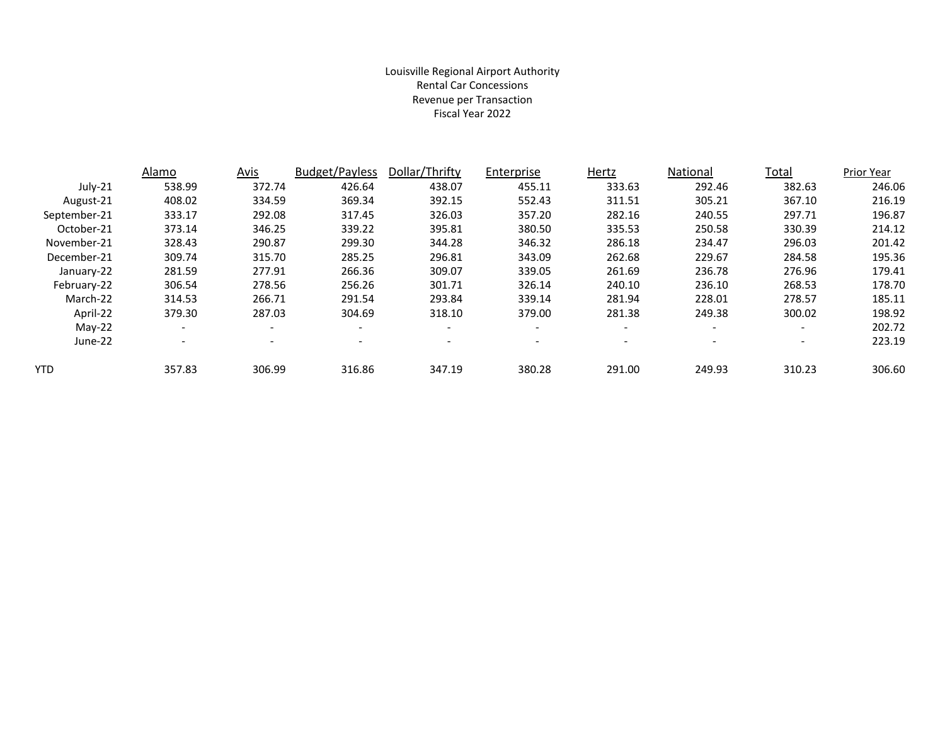### Louisville Regional Airport Authority Rental Car Concessions Revenue per Transaction Fiscal Year 2022

|              | Alamo                    | Avis                     | <b>Budget/Payless</b>    | Dollar/Thrifty           | Enterprise               | Hertz                    | National                 | Total                    | Prior Year |
|--------------|--------------------------|--------------------------|--------------------------|--------------------------|--------------------------|--------------------------|--------------------------|--------------------------|------------|
| $July-21$    | 538.99                   | 372.74                   | 426.64                   | 438.07                   | 455.11                   | 333.63                   | 292.46                   | 382.63                   | 246.06     |
| August-21    | 408.02                   | 334.59                   | 369.34                   | 392.15                   | 552.43                   | 311.51                   | 305.21                   | 367.10                   | 216.19     |
| September-21 | 333.17                   | 292.08                   | 317.45                   | 326.03                   | 357.20                   | 282.16                   | 240.55                   | 297.71                   | 196.87     |
| October-21   | 373.14                   | 346.25                   | 339.22                   | 395.81                   | 380.50                   | 335.53                   | 250.58                   | 330.39                   | 214.12     |
| November-21  | 328.43                   | 290.87                   | 299.30                   | 344.28                   | 346.32                   | 286.18                   | 234.47                   | 296.03                   | 201.42     |
| December-21  | 309.74                   | 315.70                   | 285.25                   | 296.81                   | 343.09                   | 262.68                   | 229.67                   | 284.58                   | 195.36     |
| January-22   | 281.59                   | 277.91                   | 266.36                   | 309.07                   | 339.05                   | 261.69                   | 236.78                   | 276.96                   | 179.41     |
| February-22  | 306.54                   | 278.56                   | 256.26                   | 301.71                   | 326.14                   | 240.10                   | 236.10                   | 268.53                   | 178.70     |
| March-22     | 314.53                   | 266.71                   | 291.54                   | 293.84                   | 339.14                   | 281.94                   | 228.01                   | 278.57                   | 185.11     |
| April-22     | 379.30                   | 287.03                   | 304.69                   | 318.10                   | 379.00                   | 281.38                   | 249.38                   | 300.02                   | 198.92     |
| $May-22$     | $\overline{\phantom{a}}$ | $\overline{\phantom{a}}$ | $\overline{\phantom{a}}$ | $\overline{\phantom{a}}$ | $\overline{\phantom{a}}$ | $\overline{\phantom{a}}$ | $\overline{\phantom{a}}$ | $\overline{\phantom{0}}$ | 202.72     |
| June-22      | $\overline{\phantom{a}}$ | $\overline{\phantom{a}}$ |                          | $\overline{\phantom{a}}$ | $\overline{\phantom{0}}$ | $\overline{\phantom{0}}$ | $\overline{\phantom{a}}$ | $\overline{\phantom{0}}$ | 223.19     |
| YTD          | 357.83                   | 306.99                   | 316.86                   | 347.19                   | 380.28                   | 291.00                   | 249.93                   | 310.23                   | 306.60     |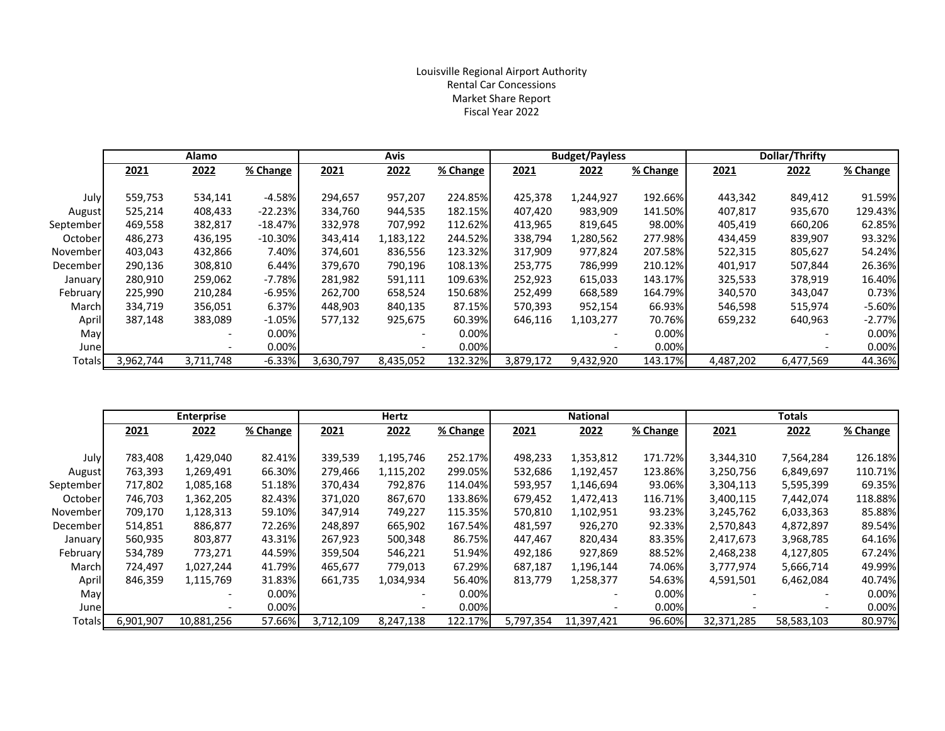#### Louisville Regional Airport Authority Rental Car Concessions Market Share Report Fiscal Year 2022

|           | Alamo     |           |            | Avis      |           |          | <b>Budget/Payless</b> |           |          | Dollar/Thrifty |           |           |
|-----------|-----------|-----------|------------|-----------|-----------|----------|-----------------------|-----------|----------|----------------|-----------|-----------|
|           | 2021      | 2022      | % Change   | 2021      | 2022      | % Change | 2021                  | 2022      | % Change | 2021           | 2022      | % Change  |
|           |           |           |            |           |           |          |                       |           |          |                |           |           |
| July      | 559,753   | 534,141   | $-4.58%$   | 294,657   | 957,207   | 224.85%  | 425,378               | 1,244,927 | 192.66%  | 443,342        | 849,412   | 91.59%    |
| August    | 525,214   | 408,433   | $-22.23%$  | 334,760   | 944,535   | 182.15%  | 407,420               | 983,909   | 141.50%  | 407,817        | 935,670   | 129.43%   |
| September | 469,558   | 382,817   | $-18.47%$  | 332,978   | 707,992   | 112.62%  | 413,965               | 819,645   | 98.00%   | 405,419        | 660,206   | 62.85%    |
| October   | 486,273   | 436,195   | $-10.30\%$ | 343,414   | 1,183,122 | 244.52%  | 338,794               | 1,280,562 | 277.98%  | 434,459        | 839,907   | 93.32%    |
| November  | 403,043   | 432,866   | 7.40%      | 374,601   | 836,556   | 123.32%  | 317,909               | 977,824   | 207.58%  | 522,315        | 805,627   | 54.24%    |
| December  | 290,136   | 308,810   | 6.44%      | 379,670   | 790,196   | 108.13%  | 253,775               | 786,999   | 210.12%  | 401,917        | 507,844   | 26.36%    |
| January   | 280,910   | 259,062   | $-7.78%$   | 281,982   | 591,111   | 109.63%  | 252,923               | 615,033   | 143.17%  | 325,533        | 378,919   | 16.40%    |
| February  | 225,990   | 210,284   | $-6.95%$   | 262,700   | 658,524   | 150.68%  | 252,499               | 668,589   | 164.79%  | 340,570        | 343,047   | 0.73%     |
| March     | 334,719   | 356,051   | 6.37%      | 448,903   | 840,135   | 87.15%   | 570,393               | 952,154   | 66.93%   | 546,598        | 515,974   | $-5.60\%$ |
| April     | 387,148   | 383,089   | $-1.05%$   | 577,132   | 925,675   | 60.39%   | 646,116               | 1,103,277 | 70.76%   | 659,232        | 640,963   | $-2.77%$  |
| May       |           |           | $0.00\%$   |           |           | $0.00\%$ |                       |           | $0.00\%$ |                |           | $0.00\%$  |
| June      |           |           | 0.00%      |           |           | 0.00%    |                       |           | 0.00%    |                |           | 0.00%     |
| Totals    | 3,962,744 | 3,711,748 | $-6.33%$   | 3,630,797 | 8,435,052 | 132.32%  | 3,879,172             | 9,432,920 | 143.17%  | 4,487,202      | 6,477,569 | 44.36%    |

|           | <b>Enterprise</b> |            |          |           | Hertz     |          | <b>National</b> |            |          |            | <b>Totals</b> |          |
|-----------|-------------------|------------|----------|-----------|-----------|----------|-----------------|------------|----------|------------|---------------|----------|
|           | 2021              | 2022       | % Change | 2021      | 2022      | % Change | 2021            | 2022       | % Change | 2021       | 2022          | % Change |
|           |                   |            |          |           |           |          |                 |            |          |            |               |          |
| July      | 783,408           | 1,429,040  | 82.41%   | 339,539   | 1,195,746 | 252.17%  | 498,233         | 1,353,812  | 171.72%  | 3,344,310  | 7,564,284     | 126.18%  |
| August    | 763,393           | 1,269,491  | 66.30%   | 279,466   | 1,115,202 | 299.05%  | 532,686         | 1,192,457  | 123.86%  | 3,250,756  | 6,849,697     | 110.71%  |
| September | 717,802           | 1,085,168  | 51.18%   | 370,434   | 792,876   | 114.04%  | 593,957         | 1,146,694  | 93.06%   | 3,304,113  | 5,595,399     | 69.35%   |
| October   | 746,703           | 1,362,205  | 82.43%   | 371,020   | 867,670   | 133.86%  | 679,452         | 1,472,413  | 116.71%  | 3,400,115  | 7,442,074     | 118.88%  |
| November  | 709,170           | 1,128,313  | 59.10%   | 347,914   | 749,227   | 115.35%  | 570,810         | 1,102,951  | 93.23%   | 3,245,762  | 6,033,363     | 85.88%   |
| December  | 514,851           | 886,877    | 72.26%   | 248,897   | 665,902   | 167.54%  | 481,597         | 926,270    | 92.33%   | 2,570,843  | 4,872,897     | 89.54%   |
| January   | 560,935           | 803,877    | 43.31%   | 267,923   | 500,348   | 86.75%   | 447,467         | 820,434    | 83.35%   | 2,417,673  | 3,968,785     | 64.16%   |
| February  | 534,789           | 773,271    | 44.59%   | 359,504   | 546,221   | 51.94%   | 492,186         | 927,869    | 88.52%   | 2,468,238  | 4,127,805     | 67.24%   |
| March     | 724,497           | 1,027,244  | 41.79%   | 465,677   | 779,013   | 67.29%   | 687,187         | 1,196,144  | 74.06%   | 3,777,974  | 5,666,714     | 49.99%   |
| April     | 846,359           | 1,115,769  | 31.83%   | 661,735   | 1,034,934 | 56.40%   | 813,779         | 1,258,377  | 54.63%   | 4,591,501  | 6,462,084     | 40.74%   |
| May       |                   |            | $0.00\%$ |           |           | 0.00%    |                 |            | $0.00\%$ |            |               | 0.00%    |
| June      |                   |            | 0.00%    |           |           | 0.00%    |                 |            | 0.00%    |            |               | 0.00%    |
| Totals    | 6,901,907         | 10,881,256 | 57.66%   | 3,712,109 | 8,247,138 | 122.17%  | 5,797,354       | 11,397,421 | 96.60%   | 32,371,285 | 58,583,103    | 80.97%   |